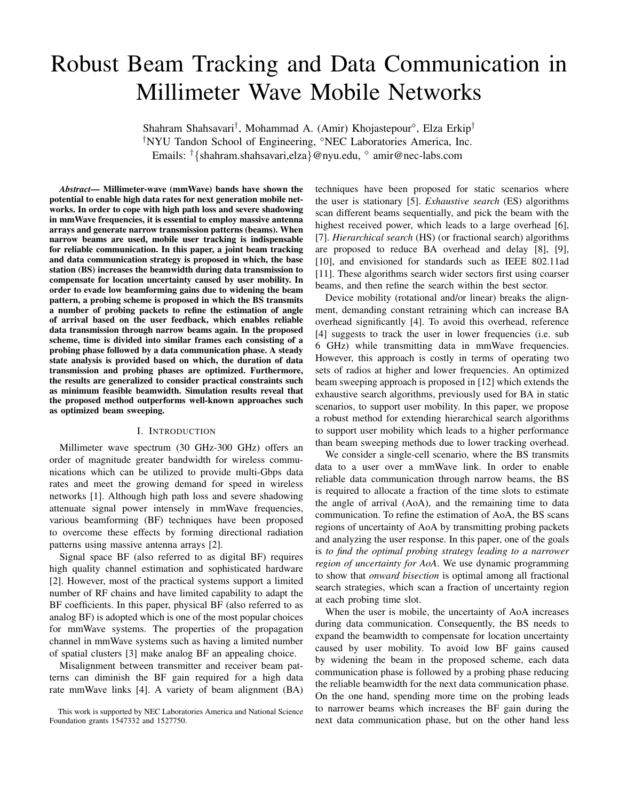# Robust Beam Tracking and Data Communication in Millimeter Wave Mobile Networks

Shahram Shahsavari<sup>†</sup>, Mohammad A. (Amir) Khojastepour<sup>6</sup>, Elza Erkip<sup>†</sup> <sup>†</sup>NYU Tandon School of Engineering, <sup>8</sup>NEC Laboratories America, Inc. Emails: †{shahram.shahsavari,elza}@nyu.edu, amir@nec-labs.com

*Abstract*— Millimeter-wave (mmWave) bands have shown the potential to enable high data rates for next generation mobile networks. In order to cope with high path loss and severe shadowing in mmWave frequencies, it is essential to employ massive antenna arrays and generate narrow transmission patterns (beams). When narrow beams are used, mobile user tracking is indispensable for reliable communication. In this paper, a joint beam tracking and data communication strategy is proposed in which, the base station (BS) increases the beamwidth during data transmission to compensate for location uncertainty caused by user mobility. In order to evade low beamforming gains due to widening the beam pattern, a probing scheme is proposed in which the BS transmits a number of probing packets to refine the estimation of angle of arrival based on the user feedback, which enables reliable data transmission through narrow beams again. In the proposed scheme, time is divided into similar frames each consisting of a probing phase followed by a data communication phase. A steady state analysis is provided based on which, the duration of data transmission and probing phases are optimized. Furthermore, the results are generalized to consider practical constraints such as minimum feasible beamwidth. Simulation results reveal that the proposed method outperforms well-known approaches such as optimized beam sweeping.

## I. INTRODUCTION

Millimeter wave spectrum (30 GHz-300 GHz) offers an order of magnitude greater bandwidth for wireless communications which can be utilized to provide multi-Gbps data rates and meet the growing demand for speed in wireless networks [1]. Although high path loss and severe shadowing attenuate signal power intensely in mmWave frequencies, various beamforming (BF) techniques have been proposed to overcome these effects by forming directional radiation patterns using massive antenna arrays [2].

Signal space BF (also referred to as digital BF) requires high quality channel estimation and sophisticated hardware [2]. However, most of the practical systems support a limited number of RF chains and have limited capability to adapt the BF coefficients. In this paper, physical BF (also referred to as analog BF) is adopted which is one of the most popular choices for mmWave systems. The properties of the propagation channel in mmWave systems such as having a limited number of spatial clusters [3] make analog BF an appealing choice.

Misalignment between transmitter and receiver beam patterns can diminish the BF gain required for a high data rate mmWave links [4]. A variety of beam alignment (BA)

techniques have been proposed for static scenarios where the user is stationary [5]. *Exhaustive search* (ES) algorithms scan different beams sequentially, and pick the beam with the highest received power, which leads to a large overhead [6], [7]. *Hierarchical search* (HS) (or fractional search) algorithms are proposed to reduce BA overhead and delay [8], [9], [10], and envisioned for standards such as IEEE 802.11ad [11]. These algorithms search wider sectors first using coarser beams, and then refine the search within the best sector.

Device mobility (rotational and/or linear) breaks the alignment, demanding constant retraining which can increase BA overhead significantly [4]. To avoid this overhead, reference [4] suggests to track the user in lower frequencies (i.e. sub 6 GHz) while transmitting data in mmWave frequencies. However, this approach is costly in terms of operating two sets of radios at higher and lower frequencies. An optimized beam sweeping approach is proposed in [12] which extends the exhaustive search algorithms, previously used for BA in static scenarios, to support user mobility. In this paper, we propose a robust method for extending hierarchical search algorithms to support user mobility which leads to a higher performance than beam sweeping methods due to lower tracking overhead.

We consider a single-cell scenario, where the BS transmits data to a user over a mmWave link. In order to enable reliable data communication through narrow beams, the BS is required to allocate a fraction of the time slots to estimate the angle of arrival (AoA), and the remaining time to data communication. To refine the estimation of AoA, the BS scans regions of uncertainty of AoA by transmitting probing packets and analyzing the user response. In this paper, one of the goals is *to find the optimal probing strategy leading to a narrower region of uncertainty for AoA*. We use dynamic programming to show that *onward bisection* is optimal among all fractional search strategies, which scan a fraction of uncertainty region at each probing time slot.

When the user is mobile, the uncertainty of AoA increases during data communication. Consequently, the BS needs to expand the beamwidth to compensate for location uncertainty caused by user mobility. To avoid low BF gains caused by widening the beam in the proposed scheme, each data communication phase is followed by a probing phase reducing the reliable beamwidth for the next data communication phase. On the one hand, spending more time on the probing leads to narrower beams which increases the BF gain during the next data communication phase, but on the other hand less

This work is supported by NEC Laboratories America and National Science Foundation grants 1547332 and 1527750.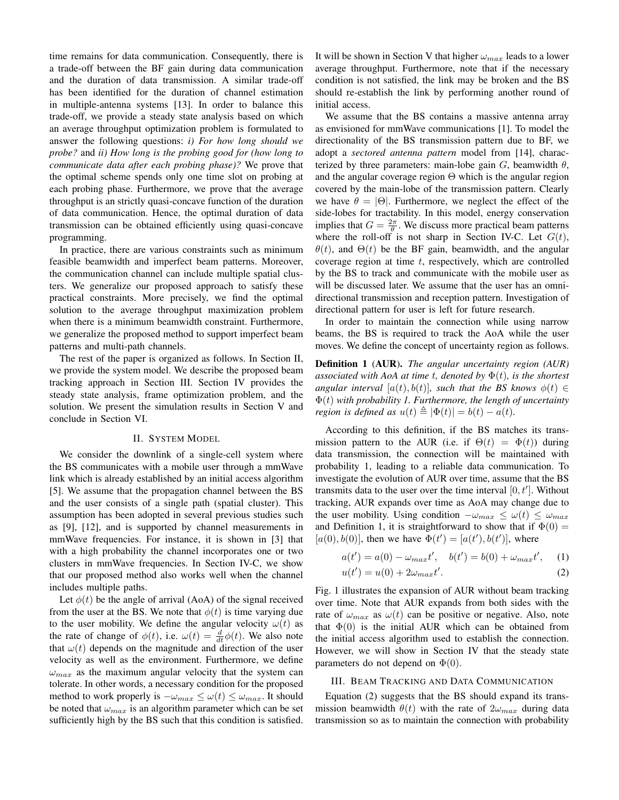time remains for data communication. Consequently, there is a trade-off between the BF gain during data communication and the duration of data transmission. A similar trade-off has been identified for the duration of channel estimation in multiple-antenna systems [13]. In order to balance this trade-off, we provide a steady state analysis based on which an average throughput optimization problem is formulated to answer the following questions: *i) For how long should we probe?* and *ii) How long is the probing good for (how long to communicate data after each probing phase)?* We prove that the optimal scheme spends only one time slot on probing at each probing phase. Furthermore, we prove that the average throughput is an strictly quasi-concave function of the duration of data communication. Hence, the optimal duration of data transmission can be obtained efficiently using quasi-concave programming.

In practice, there are various constraints such as minimum feasible beamwidth and imperfect beam patterns. Moreover, the communication channel can include multiple spatial clusters. We generalize our proposed approach to satisfy these practical constraints. More precisely, we find the optimal solution to the average throughput maximization problem when there is a minimum beamwidth constraint. Furthermore, we generalize the proposed method to support imperfect beam patterns and multi-path channels.

The rest of the paper is organized as follows. In Section II, we provide the system model. We describe the proposed beam tracking approach in Section III. Section IV provides the steady state analysis, frame optimization problem, and the solution. We present the simulation results in Section V and conclude in Section VI.

## II. SYSTEM MODEL

We consider the downlink of a single-cell system where the BS communicates with a mobile user through a mmWave link which is already established by an initial access algorithm [5]. We assume that the propagation channel between the BS and the user consists of a single path (spatial cluster). This assumption has been adopted in several previous studies such as [9], [12], and is supported by channel measurements in mmWave frequencies. For instance, it is shown in [3] that with a high probability the channel incorporates one or two clusters in mmWave frequencies. In Section IV-C, we show that our proposed method also works well when the channel includes multiple paths.

Let  $\phi(t)$  be the angle of arrival (AoA) of the signal received from the user at the BS. We note that  $\phi(t)$  is time varying due to the user mobility. We define the angular velocity  $\omega(t)$  as the rate of change of  $\phi(t)$ , i.e.  $\omega(t) = \frac{d}{dt}\phi(t)$ . We also note that  $\omega(t)$  depends on the magnitude and direction of the user velocity as well as the environment. Furthermore, we define  $\omega_{max}$  as the maximum angular velocity that the system can tolerate. In other words, a necessary condition for the proposed method to work properly is  $-\omega_{max} \leq \omega(t) \leq \omega_{max}$ . It should be noted that  $\omega_{max}$  is an algorithm parameter which can be set sufficiently high by the BS such that this condition is satisfied. It will be shown in Section V that higher  $\omega_{max}$  leads to a lower average throughput. Furthermore, note that if the necessary condition is not satisfied, the link may be broken and the BS should re-establish the link by performing another round of initial access.

We assume that the BS contains a massive antenna array as envisioned for mmWave communications [1]. To model the directionality of the BS transmission pattern due to BF, we adopt a *sectored antenna pattern* model from [14], characterized by three parameters: main-lobe gain  $G$ , beamwidth  $\theta$ , and the angular coverage region  $\Theta$  which is the angular region covered by the main-lobe of the transmission pattern. Clearly we have  $\theta = |\Theta|$ . Furthermore, we neglect the effect of the side-lobes for tractability. In this model, energy conservation implies that  $G = \frac{2\pi}{\theta}$ . We discuss more practical beam patterns where the roll-off is not sharp in Section IV-C. Let  $G(t)$ ,  $\theta(t)$ , and  $\Theta(t)$  be the BF gain, beamwidth, and the angular coverage region at time  $t$ , respectively, which are controlled by the BS to track and communicate with the mobile user as will be discussed later. We assume that the user has an omnidirectional transmission and reception pattern. Investigation of directional pattern for user is left for future research.

In order to maintain the connection while using narrow beams, the BS is required to track the AoA while the user moves. We define the concept of uncertainty region as follows.

Definition 1 (AUR). *The angular uncertainty region (AUR) associated with AoA at time* t*, denoted by* Φ(t)*, is the shortest angular interval* [ $a(t)$ ,  $b(t)$ ]*, such that the BS knows*  $\phi(t) \in$ Φ(t) *with probability 1. Furthermore, the length of uncertainty region is defined as*  $u(t) \triangleq |\Phi(t)| = b(t) - a(t)$ .

According to this definition, if the BS matches its transmission pattern to the AUR (i.e. if  $\Theta(t) = \Phi(t)$ ) during data transmission, the connection will be maintained with probability 1, leading to a reliable data communication. To investigate the evolution of AUR over time, assume that the BS transmits data to the user over the time interval  $[0, t']$ . Without tracking, AUR expands over time as AoA may change due to the user mobility. Using condition  $-\omega_{max} \leq \omega(t) \leq \omega_{max}$ and Definition 1, it is straightforward to show that if  $\Phi(0) =$ [ $a(0), b(0)$ ], then we have  $\Phi(t') = [a(t'), b(t')]$ , where

$$
a(t') = a(0) - \omega_{max}t', \quad b(t') = b(0) + \omega_{max}t', \quad (1)
$$
  

$$
a(t') = a(0) + 2\omega + t'
$$
 (2)

$$
u(t') = u(0) + 2\omega_{max}t'.\tag{2}
$$

Fig. 1 illustrates the expansion of AUR without beam tracking over time. Note that AUR expands from both sides with the rate of  $\omega_{max}$  as  $\omega(t)$  can be positive or negative. Also, note that  $\Phi(0)$  is the initial AUR which can be obtained from the initial access algorithm used to establish the connection. However, we will show in Section IV that the steady state parameters do not depend on  $\Phi(0)$ .

## III. BEAM TRACKING AND DATA COMMUNICATION

Equation (2) suggests that the BS should expand its transmission beamwidth  $\theta(t)$  with the rate of  $2\omega_{max}$  during data transmission so as to maintain the connection with probability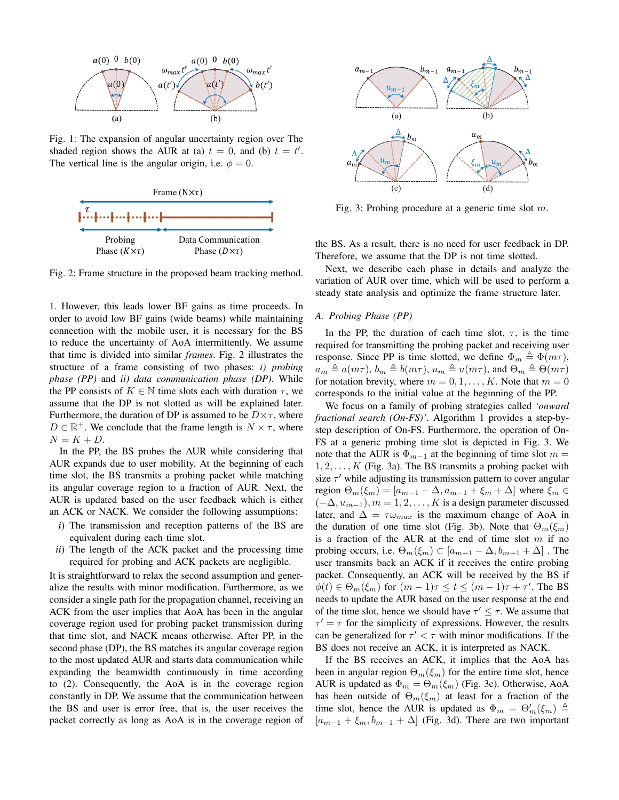

Fig. 1: The expansion of angular uncertainty region over The shaded region shows the AUR at (a)  $t = 0$ , and (b)  $t = t'$ . The vertical line is the angular origin, i.e.  $\phi = 0$ .



Fig. 2: Frame structure in the proposed beam tracking method.

1. However, this leads lower BF gains as time proceeds. In order to avoid low BF gains (wide beams) while maintaining connection with the mobile user, it is necessary for the BS to reduce the uncertainty of AoA intermittently. We assume that time is divided into similar *frames*. Fig. 2 illustrates the structure of a frame consisting of two phases: *i) probing phase (PP)* and *ii) data communication phase (DP)*. While the PP consists of  $K \in \mathbb{N}$  time slots each with duration  $\tau$ , we assume that the DP is not slotted as will be explained later. Furthermore, the duration of DP is assumed to be  $D \times \tau$ , where  $D \in \mathbb{R}^+$ . We conclude that the frame length is  $N \times \tau$ , where  $N = K + D$ .

In the PP, the BS probes the AUR while considering that AUR expands due to user mobility. At the beginning of each time slot, the BS transmits a probing packet while matching its angular coverage region to a fraction of AUR. Next, the AUR is updated based on the user feedback which is either an ACK or NACK. We consider the following assumptions:

- *i*) The transmission and reception patterns of the BS are equivalent during each time slot.
- *ii*) The length of the ACK packet and the processing time required for probing and ACK packets are negligible.

It is straightforward to relax the second assumption and generalize the results with minor modification. Furthermore, as we consider a single path for the propagation channel, receiving an ACK from the user implies that AoA has been in the angular coverage region used for probing packet transmission during that time slot, and NACK means otherwise. After PP, in the second phase (DP), the BS matches its angular coverage region to the most updated AUR and starts data communication while expanding the beamwidth continuously in time according to (2). Consequently, the AoA is in the coverage region constantly in DP. We assume that the communication between the BS and user is error free, that is, the user receives the packet correctly as long as AoA is in the coverage region of



Fig. 3: Probing procedure at a generic time slot  $m$ .

the BS. As a result, there is no need for user feedback in DP. Therefore, we assume that the DP is not time slotted.

Next, we describe each phase in details and analyze the variation of AUR over time, which will be used to perform a steady state analysis and optimize the frame structure later.

## *A. Probing Phase (PP)*

In the PP, the duration of each time slot,  $\tau$ , is the time required for transmitting the probing packet and receiving user response. Since PP is time slotted, we define  $\Phi_m \triangleq \Phi(m\tau)$ ,  $a_m \triangleq a(m\tau), b_m \triangleq b(m\tau), u_m \triangleq u(m\tau)$ , and  $\Theta_m \triangleq \Theta(m\tau)$ for notation brevity, where  $m = 0, 1, \dots, K$ . Note that  $m = 0$ corresponds to the initial value at the beginning of the PP.

We focus on a family of probing strategies called *'onward fractional search (On-FS)'*. Algorithm 1 provides a step-bystep description of On-FS. Furthermore, the operation of On-FS at a generic probing time slot is depicted in Fig. 3. We note that the AUR is  $\Phi_{m-1}$  at the beginning of time slot  $m =$  $1, 2, \ldots, K$  (Fig. 3a). The BS transmits a probing packet with size  $\tau'$  while adjusting its transmission pattern to cover angular region  $\Theta_m(\xi_m) = [a_{m-1} - \Delta, a_{m-1} + \xi_m + \Delta]$  where  $\xi_m \in$  $(-\Delta, u_{m-1}), m = 1, 2, \ldots, K$  is a design parameter discussed later, and  $\Delta = \tau \omega_{max}$  is the maximum change of AoA in the duration of one time slot (Fig. 3b). Note that  $\Theta_m(\xi_m)$ is a fraction of the AUR at the end of time slot  $m$  if no probing occurs, i.e.  $\Theta_m(\xi_m) \subset [a_{m-1} - \Delta, b_{m-1} + \Delta]$ . The user transmits back an ACK if it receives the entire probing packet. Consequently, an ACK will be received by the BS if  $\phi(t) \in \Theta_m(\xi_m)$  for  $(m-1)\tau \le t \le (m-1)\tau + \tau'$ . The BS needs to update the AUR based on the user response at the end of the time slot, hence we should have  $\tau' \leq \tau$ . We assume that  $\tau' = \tau$  for the simplicity of expressions. However, the results can be generalized for  $\tau' < \tau$  with minor modifications. If the BS does not receive an ACK, it is interpreted as NACK.

If the BS receives an ACK, it implies that the AoA has been in angular region  $\Theta_m(\xi_m)$  for the entire time slot, hence AUR is updated as  $\Phi_m = \Theta_m(\xi_m)$  (Fig. 3c). Otherwise, AoA has been outside of  $\Theta_m(\xi_m)$  at least for a fraction of the time slot, hence the AUR is updated as  $\Phi_m = \Theta'_m(\xi_m) \triangleq$  $[a_{m-1} + \xi_m, b_{m-1} + \Delta]$  (Fig. 3d). There are two important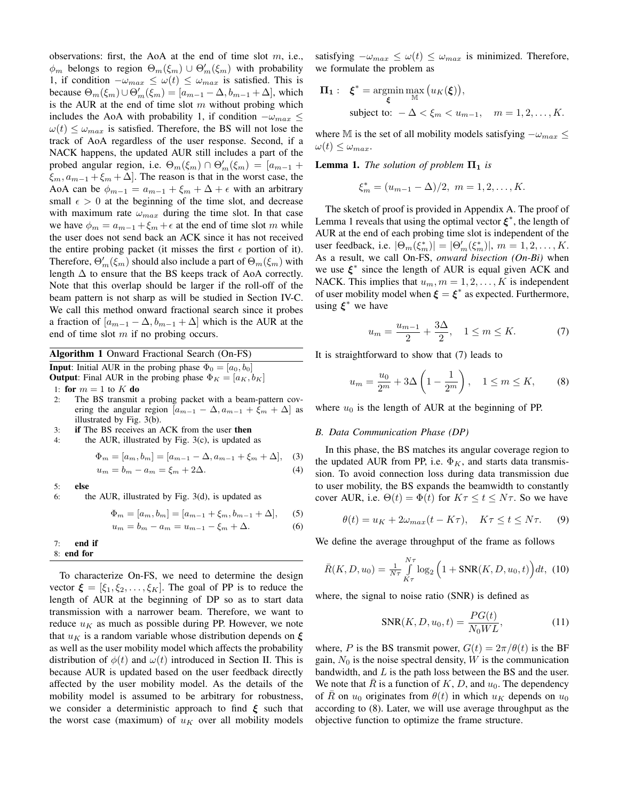observations: first, the AoA at the end of time slot  $m$ , i.e.,  $\phi_m$  belongs to region  $\Theta_m(\xi_m) \cup \Theta'_m(\xi_m)$  with probability 1, if condition  $-\omega_{max} \leq \omega(t) \leq \omega_{max}$  is satisfied. This is because  $\Theta_m(\xi_m) \cup \Theta'_m(\xi_m) = [a_{m-1} - \Delta, b_{m-1} + \Delta]$ , which is the AUR at the end of time slot  $m$  without probing which includes the AoA with probability 1, if condition  $-\omega_{max} \leq$  $\omega(t) \leq \omega_{max}$  is satisfied. Therefore, the BS will not lose the track of AoA regardless of the user response. Second, if a NACK happens, the updated AUR still includes a part of the probed angular region, i.e.  $\Theta_m(\xi_m) \cap \Theta'_m(\xi_m) = [a_{m-1} +$  $\xi_m$ ,  $a_{m-1} + \xi_m + \Delta$ . The reason is that in the worst case, the AoA can be  $\phi_{m-1} = a_{m-1} + \xi_m + \Delta + \epsilon$  with an arbitrary small  $\epsilon > 0$  at the beginning of the time slot, and decrease with maximum rate  $\omega_{max}$  during the time slot. In that case we have  $\phi_m = a_{m-1} + \xi_m + \epsilon$  at the end of time slot m while the user does not send back an ACK since it has not received the entire probing packet (it misses the first  $\epsilon$  portion of it). Therefore,  $\Theta'_{m}(\xi_{m})$  should also include a part of  $\Theta_{m}(\xi_{m})$  with length  $\Delta$  to ensure that the BS keeps track of AoA correctly. Note that this overlap should be larger if the roll-off of the beam pattern is not sharp as will be studied in Section IV-C. We call this method onward fractional search since it probes a fraction of  $[a_{m-1} - \Delta, b_{m-1} + \Delta]$  which is the AUR at the end of time slot  $m$  if no probing occurs.

Algorithm 1 Onward Fractional Search (On-FS)

**Input:** Initial AUR in the probing phase  $\Phi_0 = [a_0, b_0]$ 

**Output**: Final AUR in the probing phase  $\Phi_K = [a_K, b_K]$ 

1: for  $m = 1$  to  $K$  do

- 2: The BS transmit a probing packet with a beam-pattern covering the angular region  $[a_{m-1} - \Delta, a_{m-1} + \xi_m + \Delta]$  as illustrated by Fig. 3(b).
- 3: if The BS receives an ACK from the user then
- 4: the AUR, illustrated by Fig. 3(c), is updated as

$$
\Phi_m = [a_m, b_m] = [a_{m-1} - \Delta, a_{m-1} + \xi_m + \Delta], \quad (3)
$$
  

$$
u_m = b_m - a_m = \xi_m + 2\Delta. \quad (4)
$$

5: else

6: the AUR, illustrated by Fig. 3(d), is updated as

$$
\Phi_m = [a_m, b_m] = [a_{m-1} + \xi_m, b_{m-1} + \Delta], \quad (5)
$$

$$
u_m = b_m - a_m = u_{m-1} - \xi_m + \Delta.
$$
 (6)

7: end if 8: end for

To characterize On-FS, we need to determine the design vector  $\boldsymbol{\xi} = [\xi_1, \xi_2, \dots, \xi_K]$ . The goal of PP is to reduce the length of AUR at the beginning of DP so as to start data transmission with a narrower beam. Therefore, we want to reduce  $u_K$  as much as possible during PP. However, we note that  $u_K$  is a random variable whose distribution depends on  $\xi$ as well as the user mobility model which affects the probability distribution of  $\phi(t)$  and  $\omega(t)$  introduced in Section II. This is because AUR is updated based on the user feedback directly affected by the user mobility model. As the details of the mobility model is assumed to be arbitrary for robustness, we consider a deterministic approach to find  $\xi$  such that the worst case (maximum) of  $u_K$  over all mobility models satisfying  $-\omega_{max} \leq \omega(t) \leq \omega_{max}$  is minimized. Therefore, we formulate the problem as

$$
\Pi_1: \quad \xi^* = \underset{\xi}{\text{argmin}} \max_{\mathbb{M}} \big( u_K(\xi) \big),
$$
\n
$$
\text{subject to: } -\Delta < \xi_m < u_{m-1}, \quad m = 1, 2, \dots, K.
$$

where M is the set of all mobility models satisfying  $-\omega_{max} \leq$  $\omega(t) \leq \omega_{max}.$ 

**Lemma 1.** *The solution of problem*  $\Pi_1$  *is* 

$$
\xi_m^* = (u_{m-1} - \Delta)/2, \ m = 1, 2, \dots, K.
$$

The sketch of proof is provided in Appendix A. The proof of Lemma 1 reveals that using the optimal vector  $\xi^*$ , the length of AUR at the end of each probing time slot is independent of the user feedback, i.e.  $|\Theta_m(\xi_m^*)| = |\Theta_m'(\xi_m^*)|$ ,  $m = 1, 2, ..., K$ . As a result, we call On-FS, *onward bisection (On-Bi)* when we use  $\xi^*$  since the length of AUR is equal given ACK and NACK. This implies that  $u_m$ ,  $m = 1, 2, \dots, K$  is independent of user mobility model when  $\xi = \xi^*$  as expected. Furthermore, using  $\xi^*$  we have

$$
u_m = \frac{u_{m-1}}{2} + \frac{3\Delta}{2}, \quad 1 \le m \le K. \tag{7}
$$

It is straightforward to show that (7) leads to

$$
u_m = \frac{u_0}{2^m} + 3\Delta \left( 1 - \frac{1}{2^m} \right), \quad 1 \le m \le K,
$$
 (8)

where  $u_0$  is the length of AUR at the beginning of PP.

## *B. Data Communication Phase (DP)*

In this phase, the BS matches its angular coverage region to the updated AUR from PP, i.e.  $\Phi_K$ , and starts data transmission. To avoid connection loss during data transmission due to user mobility, the BS expands the beamwidth to constantly cover AUR, i.e.  $\Theta(t) = \Phi(t)$  for  $K\tau \le t \le N\tau$ . So we have

$$
\theta(t) = u_K + 2\omega_{max}(t - K\tau), \quad K\tau \le t \le N\tau. \tag{9}
$$

We define the average throughput of the frame as follows

$$
\bar{R}(K, D, u_0) = \frac{1}{N\tau} \int_{K\tau}^{N\tau} \log_2 \left( 1 + \text{SNR}(K, D, u_0, t) \right) dt, (10)
$$

where, the signal to noise ratio (SNR) is defined as

$$
SNR(K, D, u_0, t) = \frac{PG(t)}{N_0WL},
$$
\n(11)

where, P is the BS transmit power,  $G(t) = 2\pi/\theta(t)$  is the BF gain,  $N_0$  is the noise spectral density, W is the communication bandwidth, and  $L$  is the path loss between the BS and the user. We note that R is a function of K, D, and  $u_0$ . The dependency of R on  $u_0$  originates from  $\theta(t)$  in which  $u_K$  depends on  $u_0$ according to (8). Later, we will use average throughput as the objective function to optimize the frame structure.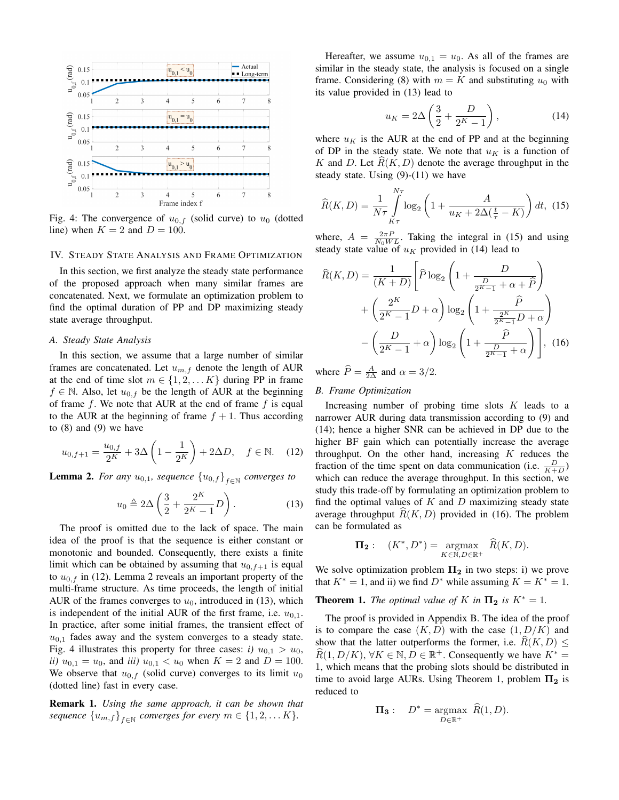

Fig. 4: The convergence of  $u_{0,f}$  (solid curve) to  $u_0$  (dotted line) when  $K = 2$  and  $D = 100$ .

#### IV. STEADY STATE ANALYSIS AND FRAME OPTIMIZATION

In this section, we first analyze the steady state performance of the proposed approach when many similar frames are concatenated. Next, we formulate an optimization problem to find the optimal duration of PP and DP maximizing steady state average throughput.

#### *A. Steady State Analysis*

In this section, we assume that a large number of similar frames are concatenated. Let  $u_{m,f}$  denote the length of AUR at the end of time slot  $m \in \{1, 2, \ldots K\}$  during PP in frame  $f \in \mathbb{N}$ . Also, let  $u_{0,f}$  be the length of AUR at the beginning of frame  $f$ . We note that AUR at the end of frame  $f$  is equal to the AUR at the beginning of frame  $f + 1$ . Thus according to  $(8)$  and  $(9)$  we have

$$
u_{0,f+1} = \frac{u_{0,f}}{2^K} + 3\Delta \left(1 - \frac{1}{2^K}\right) + 2\Delta D, \quad f \in \mathbb{N}.
$$
 (12)

**Lemma 2.** For any  $u_{0,1}$ , sequence  $\{u_{0,f}\}_{f\in\mathbb{N}}$  converges to

$$
u_0 \triangleq 2\Delta \left(\frac{3}{2} + \frac{2^K}{2^K - 1}D\right). \tag{13}
$$

The proof is omitted due to the lack of space. The main idea of the proof is that the sequence is either constant or monotonic and bounded. Consequently, there exists a finite limit which can be obtained by assuming that  $u_{0,f+1}$  is equal to  $u_{0,f}$  in (12). Lemma 2 reveals an important property of the multi-frame structure. As time proceeds, the length of initial AUR of the frames converges to  $u_0$ , introduced in (13), which is independent of the initial AUR of the first frame, i.e.  $u_{0,1}$ . In practice, after some initial frames, the transient effect of  $u_{0,1}$  fades away and the system converges to a steady state. Fig. 4 illustrates this property for three cases: *i*)  $u_{0,1} > u_0$ , *ii)*  $u_{0,1} = u_0$ , and *iii)*  $u_{0,1} < u_0$  when  $K = 2$  and  $D = 100$ . We observe that  $u_{0,f}$  (solid curve) converges to its limit  $u_0$ (dotted line) fast in every case.

Remark 1. *Using the same approach, it can be shown that*  $sequence \{u_{m,f}\}_{f \in \mathbb{N}}$  converges for every  $m \in \{1, 2, \ldots K\}.$ 

Hereafter, we assume  $u_{0,1} = u_0$ . As all of the frames are similar in the steady state, the analysis is focused on a single frame. Considering (8) with  $m = K$  and substituting  $u_0$  with its value provided in (13) lead to

$$
u_K = 2\Delta \left(\frac{3}{2} + \frac{D}{2^K - 1}\right),\tag{14}
$$

where  $u_K$  is the AUR at the end of PP and at the beginning of DP in the steady state. We note that  $u<sub>K</sub>$  is a function of K and D. Let  $R(K, D)$  denote the average throughput in the steady state. Using  $(9)-(11)$  we have

$$
\widehat{R}(K,D) = \frac{1}{N\tau} \int_{K\tau}^{N\tau} \log_2\left(1 + \frac{A}{u_K + 2\Delta(\frac{t}{\tau} - K)}\right) dt, \tag{15}
$$

where,  $A = \frac{2\pi P}{N_0WL}$ . Taking the integral in (15) and using steady state value of  $u_K$  provided in (14) lead to

$$
\widehat{R}(K, D) = \frac{1}{(K+D)} \left[ \widehat{P} \log_2 \left( 1 + \frac{D}{\frac{D}{2^{K}-1} + \alpha + \widehat{P}} \right) + \left( \frac{2^K}{2^{K}-1} D + \alpha \right) \log_2 \left( 1 + \frac{\widehat{P}}{\frac{2^K}{2^{K}-1} D + \alpha} \right) - \left( \frac{D}{2^K-1} + \alpha \right) \log_2 \left( 1 + \frac{\widehat{P}}{\frac{D}{2^{K}-1} + \alpha} \right) \right], \text{ (16)}
$$

where  $\widehat{P} = \frac{A}{2\Delta}$  and  $\alpha = 3/2$ .

## *B. Frame Optimization*

Increasing number of probing time slots  $K$  leads to a narrower AUR during data transmission according to (9) and (14); hence a higher SNR can be achieved in DP due to the higher BF gain which can potentially increase the average throughput. On the other hand, increasing  $K$  reduces the fraction of the time spent on data communication (i.e.  $\frac{D}{K+D}$ ) which can reduce the average throughput. In this section, we study this trade-off by formulating an optimization problem to find the optimal values of  $K$  and  $D$  maximizing steady state average throughput  $R(K, D)$  provided in (16). The problem can be formulated as

$$
\mathbf{\Pi_2}: \quad (K^*, D^*) = \underset{K \in \mathbb{N}, D \in \mathbb{R}^+}{\text{argmax}} \quad \widehat{R}(K, D).
$$

We solve optimization problem  $\Pi_2$  in two steps: i) we prove that  $K^* = 1$ , and ii) we find  $D^*$  while assuming  $K = K^* = 1$ .

**Theorem 1.** *The optimal value of* K *in*  $\Pi_2$  *is*  $K^* = 1$ *.* 

The proof is provided in Appendix B. The idea of the proof is to compare the case  $(K, D)$  with the case  $(1, D/K)$  and show that the latter outperforms the former, i.e.  $R(K, D) \leq$  $\widehat{R}(1, D/K), \forall K \in \mathbb{N}, D \in \mathbb{R}^+$ . Consequently we have  $K^* =$ 1, which means that the probing slots should be distributed in time to avoid large AURs. Using Theorem 1, problem  $\Pi_2$  is reduced to

$$
\mathbf{\Pi_3}:\quad D^* = \underset{D \in \mathbb{R}^+}{\operatorname{argmax}} \ \widehat{R}(1, D).
$$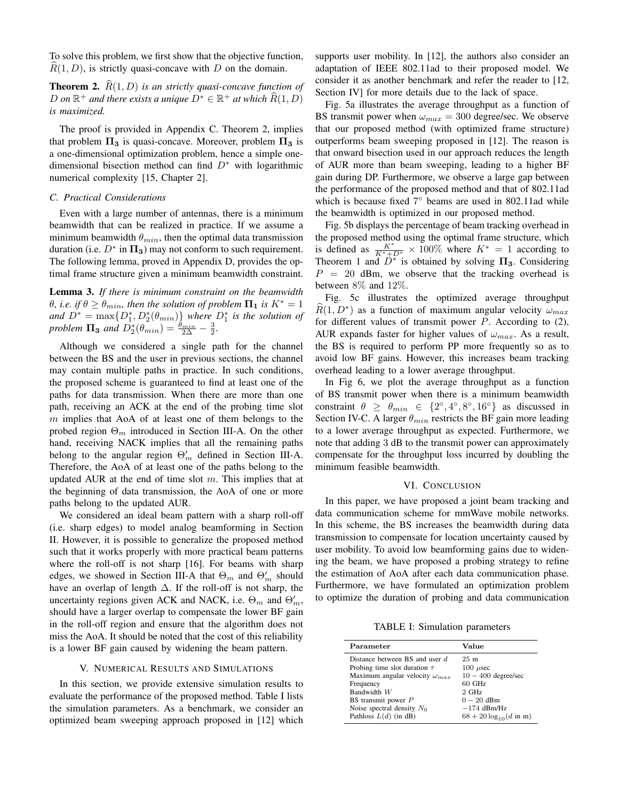To solve this problem, we first show that the objective function,  $R(1, D)$ , is strictly quasi-concave with D on the domain.

**Theorem 2.**  $\widehat{R}(1, D)$  *is an strictly quasi-concave function of*  $D$  *on* ℝ<sup>+</sup> *and there exists a unique*  $D^*$  ∈ ℝ<sup>+</sup> *at which*  $\widehat{R}(1, D)$ *is maximized.*

The proof is provided in Appendix C. Theorem 2, implies that problem  $\Pi_3$  is quasi-concave. Moreover, problem  $\Pi_3$  is a one-dimensional optimization problem, hence a simple onedimensional bisection method can find  $D^*$  with logarithmic numerical complexity [15, Chapter 2].

# *C. Practical Considerations*

Even with a large number of antennas, there is a minimum beamwidth that can be realized in practice. If we assume a minimum beamwidth  $\theta_{min}$ , then the optimal data transmission duration (i.e.  $D^*$  in  $\Pi_3$ ) may not conform to such requirement. The following lemma, proved in Appendix D, provides the optimal frame structure given a minimum beamwidth constraint.

Lemma 3. *If there is minimum constraint on the beamwidth θ, i.e. if*  $\theta \ge \theta_{min}$ *, then the solution of problem*  $\Pi_1$  *is*  $K^* = 1$ and  $D^* = \max\{D_1^*, D_2^*(\theta_{min})\}$  where  $D_1^*$  is the solution of *problem*  $\Pi_3$  *and*  $\overline{D}_2^*(\theta_{min}) = \frac{\theta_{min}}{2\Delta} - \frac{3}{2}$ .

Although we considered a single path for the channel between the BS and the user in previous sections, the channel may contain multiple paths in practice. In such conditions, the proposed scheme is guaranteed to find at least one of the paths for data transmission. When there are more than one path, receiving an ACK at the end of the probing time slot  $m$  implies that AoA of at least one of them belongs to the probed region  $\Theta_m$  introduced in Section III-A. On the other hand, receiving NACK implies that all the remaining paths belong to the angular region  $\Theta'_{m}$  defined in Section III-A. Therefore, the AoA of at least one of the paths belong to the updated AUR at the end of time slot  $m$ . This implies that at the beginning of data transmission, the AoA of one or more paths belong to the updated AUR.

We considered an ideal beam pattern with a sharp roll-off (i.e. sharp edges) to model analog beamforming in Section II. However, it is possible to generalize the proposed method such that it works properly with more practical beam patterns where the roll-off is not sharp [16]. For beams with sharp edges, we showed in Section III-A that  $\Theta_m$  and  $\Theta'_m$  should have an overlap of length  $\Delta$ . If the roll-off is not sharp, the uncertainty regions given ACK and NACK, i.e.  $\Theta_m$  and  $\Theta'_m$ , should have a larger overlap to compensate the lower BF gain in the roll-off region and ensure that the algorithm does not miss the AoA. It should be noted that the cost of this reliability is a lower BF gain caused by widening the beam pattern.

## V. NUMERICAL RESULTS AND SIMULATIONS

In this section, we provide extensive simulation results to evaluate the performance of the proposed method. Table I lists the simulation parameters. As a benchmark, we consider an optimized beam sweeping approach proposed in [12] which supports user mobility. In [12], the authors also consider an adaptation of IEEE 802.11ad to their proposed model. We consider it as another benchmark and refer the reader to [12, Section IV] for more details due to the lack of space.

Fig. 5a illustrates the average throughput as a function of BS transmit power when  $\omega_{max} = 300$  degree/sec. We observe that our proposed method (with optimized frame structure) outperforms beam sweeping proposed in [12]. The reason is that onward bisection used in our approach reduces the length of AUR more than beam sweeping, leading to a higher BF gain during DP. Furthermore, we observe a large gap between the performance of the proposed method and that of 802.11ad which is because fixed 7° beams are used in 802.11ad while the beamwidth is optimized in our proposed method.

Fig. 5b displays the percentage of beam tracking overhead in the proposed method using the optimal frame structure, which is defined as  $\frac{K^*}{K^*+D^*} \times 100\%$  where  $K^* = 1$  according to Theorem 1 and  $\overline{D^*}$  is obtained by solving  $\Pi_3$ . Considering  $P = 20$  dBm, we observe that the tracking overhead is between 8% and 12%.

Fig. 5c illustrates the optimized average throughput  $\widehat{R}(1, D^*)$  as a function of maximum angular velocity  $\omega_{max}$ for different values of transmit power  $P$ . According to  $(2)$ , AUR expands faster for higher values of  $\omega_{max}$ . As a result, the BS is required to perform PP more frequently so as to avoid low BF gains. However, this increases beam tracking overhead leading to a lower average throughput.

In Fig 6, we plot the average throughput as a function of BS transmit power when there is a minimum beamwidth constraint  $\theta \geq \theta_{min} \in \{2^\circ, 4^\circ, 8^\circ, 16^\circ\}$  as discussed in Section IV-C. A larger  $\theta_{min}$  restricts the BF gain more leading to a lower average throughput as expected. Furthermore, we note that adding 3 dB to the transmit power can approximately compensate for the throughput loss incurred by doubling the minimum feasible beamwidth.

#### VI. CONCLUSION

In this paper, we have proposed a joint beam tracking and data communication scheme for mmWave mobile networks. In this scheme, the BS increases the beamwidth during data transmission to compensate for location uncertainty caused by user mobility. To avoid low beamforming gains due to widening the beam, we have proposed a probing strategy to refine the estimation of AoA after each data communication phase. Furthermore, we have formulated an optimization problem to optimize the duration of probing and data communication

TABLE I: Simulation parameters

| Parameter                               | Value                                |
|-----------------------------------------|--------------------------------------|
| Distance between BS and user d.         | 25m                                  |
| Probing time slot duration $\tau$       | $100 \ \mu$ sec                      |
| Maximum angular velocity $\omega_{max}$ | $10 - 400$ degree/sec                |
| Frequency                               | 60 GHz                               |
| Bandwidth W                             | $2$ GHz                              |
| BS transmit power P                     | $0-20$ dBm                           |
| Noise spectral density $N_0$            | $-174$ dBm/Hz                        |
| Pathloss $L(d)$ (in dB)                 | $68 + 20 \log_{10}(d \text{ in } m)$ |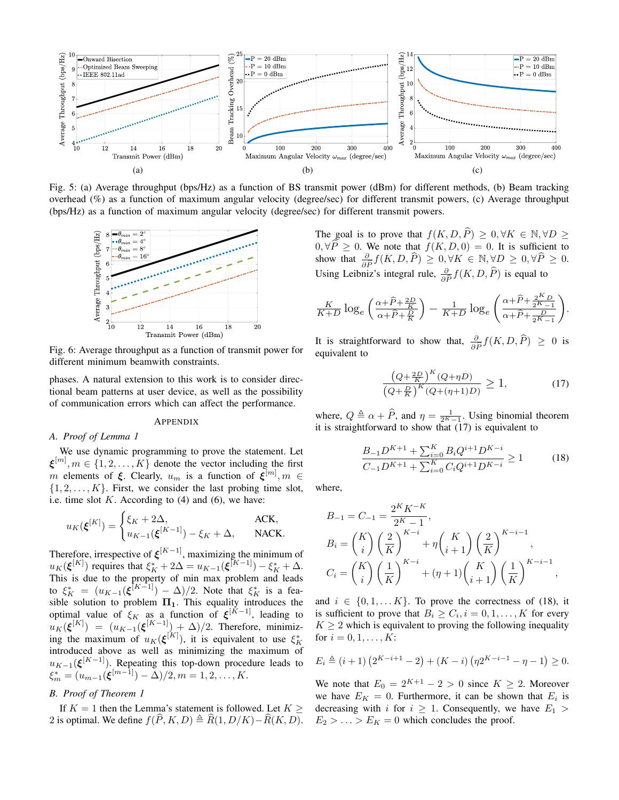

Fig. 5: (a) Average throughput (bps/Hz) as a function of BS transmit power (dBm) for different methods, (b) Beam tracking overhead (%) as a function of maximum angular velocity (degree/sec) for different transmit powers, (c) Average throughput (bps/Hz) as a function of maximum angular velocity (degree/sec) for different transmit powers.



Fig. 6: Average throughput as a function of transmit power for different minimum beamwith constraints.

phases. A natural extension to this work is to consider directional beam patterns at user device, as well as the possibility of communication errors which can affect the performance.

#### **APPENDIX**

#### *A. Proof of Lemma 1*

We use dynamic programming to prove the statement. Let  $\xi^{[m]}, m \in \{1, 2, ..., K\}$  denote the vector including the first m elements of  $\xi$ . Clearly,  $u_m$  is a function of  $\xi^{[m]}$ ,  $m \in$  $\{1, 2, \ldots, K\}$ . First, we consider the last probing time slot, i.e. time slot  $K$ . According to  $(4)$  and  $(6)$ , we have:

$$
u_K(\boldsymbol{\xi}^{[K]}) = \begin{cases} \xi_K + 2\Delta, & \text{ACK}, \\ u_{K-1}(\boldsymbol{\xi}^{[K-1]}) - \xi_K + \Delta, & \text{NACK}. \end{cases}
$$

Therefore, irrespective of  $\xi^{[K-1]}$ , maximizing the minimum of  $u_K(\xi^{[K]})$  requires that  $\xi_K^* + 2\Delta = u_{K-1}(\xi^{[K-1]}) - \xi_K^* + \Delta$ . This is due to the property of min max problem and leads to  $\xi_K^* = (u_{K-1}(\xi^{[K-1]}) - \Delta)/2$ . Note that  $\xi_K^*$  is a feasible solution to problem  $\Pi_1$ . This equality introduces the optimal value of  $\xi_K$  as a function of  $\xi^{[K-1]}$ , leading to  $u_K(\boldsymbol{\xi}^{[K]}) = (u_{K-1}(\boldsymbol{\xi}^{[K-1]}) + \Delta)/2$ . Therefore, minimizing the maximum of  $u_K(\boldsymbol{\xi}^{[K]})$ , it is equivalent to use  $\xi_K^*$ introduced above as well as minimizing the maximum of  $u_{K-1}(\boldsymbol{\xi}^{[K-1]})$ . Repeating this top-down procedure leads to  $\xi_m^* = (u_{m-1}(\boldsymbol{\xi}^{[m-1]}) - \Delta)/2, m = 1, 2, \ldots, K.$ 

# *B. Proof of Theorem 1*

If  $K = 1$  then the Lemma's statement is followed. Let  $K \geq$ 2 is optimal. We define  $f(\widehat{P}, K, D) \triangleq \widehat{R}(1, D/K) - \widehat{R}(K, D)$ . The goal is to prove that  $f(K, D, \hat{P}) \geq 0, \forall K \in \mathbb{N}, \forall D \geq$ 0,  $\forall P \ge 0$ . We note that  $f(K, D, 0) = 0$ . It is sufficient to show that  $\frac{\partial}{\partial \hat{P}} f(K, D, \hat{P}) \ge 0, \forall K \in \mathbb{N}, \forall D \ge 0, \forall \hat{P} \ge 0$ . Using Leibniz's integral rule,  $\frac{\partial}{\partial \widehat{P}} f(K, D, \widehat{P})$  is equal to

$$
\frac{K}{K+D}\log_e\left(\frac{\alpha+\widehat{P}+\frac{2D}{K}}{\alpha+\widehat{P}+\frac{D}{K}}\right)-\frac{1}{K+D}\log_e\left(\frac{\alpha+\widehat{P}+\frac{2K_D}{2K-1}}{\alpha+\widehat{P}+\frac{D}{2K-1}}\right).
$$

It is straightforward to show that,  $\frac{\partial}{\partial \tilde{P}} f(K, D, \hat{P}) \geq 0$  is equivalent to equivalent to

$$
\frac{\left(Q + \frac{2D}{K}\right)^K (Q + \eta D)}{\left(Q + \frac{D}{K}\right)^K (Q + (\eta + 1)D)} \ge 1,\tag{17}
$$

where,  $Q \triangleq \alpha + \widehat{P}$ , and  $\eta = \frac{1}{2^K - 1}$ . Using binomial theorem it is straightforward to show that  $(17)$  is equivalent to

$$
\frac{B_{-1}D^{K+1} + \sum_{i=0}^{K} B_i Q^{i+1} D^{K-i}}{C_{-1}D^{K+1} + \sum_{i=0}^{K} C_i Q^{i+1} D^{K-i}} \ge 1
$$
\n(18)

where,

$$
B_{-1} = C_{-1} = \frac{2^K K^{-K}}{2^{K} - 1},
$$
  
\n
$$
B_{i} = {K \choose i} \left(\frac{2}{K}\right)^{K-i} + \eta {K \choose i+1} \left(\frac{2}{K}\right)^{K-i-1},
$$
  
\n
$$
C_{i} = {K \choose i} \left(\frac{1}{K}\right)^{K-i} + (\eta + 1) {K \choose i+1} \left(\frac{1}{K}\right)^{K-i-1},
$$

and  $i \in \{0, 1, \ldots K\}$ . To prove the correctness of (18), it is sufficient to prove that  $B_i \geq C_i$ ,  $i = 0, 1, \dots, K$  for every  $K \geq 2$  which is equivalent to proving the following inequality for  $i = 0, 1, ..., K$ :

$$
E_i \triangleq (i+1)\left(2^{K-i+1} - 2\right) + (K-i)\left(\eta 2^{K-i-1} - \eta - 1\right) \geq 0.
$$

We note that  $E_0 = 2^{K+1} - 2 > 0$  since  $K \geq 2$ . Moreover we have  $E_K = 0$ . Furthermore, it can be shown that  $E_i$  is decreasing with i for  $i \geq 1$ . Consequently, we have  $E_1$  $E_2 > \ldots > E_K = 0$  which concludes the proof.